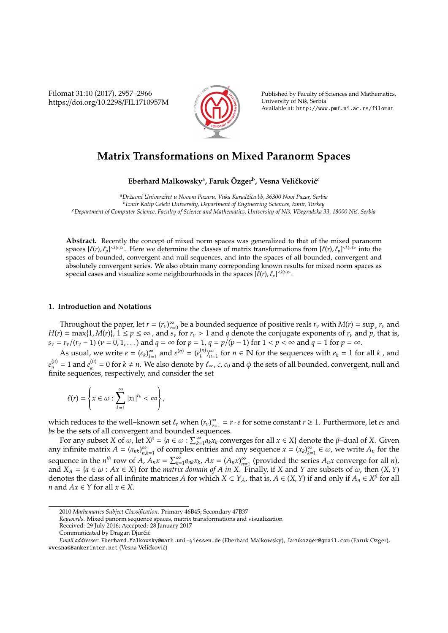Filomat 31:10 (2017), 2957–2966 https://doi.org/10.2298/FIL1710957M



Published by Faculty of Sciences and Mathematics, University of Nis, Serbia ˇ Available at: http://www.pmf.ni.ac.rs/filomat

# **Matrix Transformations on Mixed Paranorm Spaces**

# $\mathbf{E}$ berhard Malkowsky<sup>a</sup>, Faruk Özger<sup>b</sup>, Vesna Veličković $^{\mathsf{c}}$

*<sup>a</sup>Drˇzavni Univerzitet u Novom Pazaru, Vuka Karadˇzi´ca bb, 36300 Novi Pazar, Serbia b Izmir Katip Celebi University, Department of Engineering Sciences, Izmir, Turkey <sup>c</sup>Department of Computer Science, Faculty of Science and Mathematics, University of Niˇs, Viˇsegradska 33, 18000 Niˇs, Serbia*

**Abstract.** Recently the concept of mixed norm spaces was generalized to that of the mixed paranorm spaces  $[\ell(r), \ell_p]^{< k(\nu)}$ . Here we determine the classes of matrix transformations from  $[\ell(r), \ell_p]^{< k(\nu)}$  into the spaces of bounded, convergent and null sequences, and into the spaces of all bounded, convergent and absolutely convergent series. We also obtain many correponding known results for mixed norm spaces as special cases and visualize some neighbourhoods in the spaces  $[\ell(r), \ell_p]^{< k(v)>}$ .

# **1. Introduction and Notations**

Throughout the paper, let  $r = (r_v)_{v=v}^{\infty}$  $\sum_{\nu=0}^{\infty}$  be a bounded sequence of positive reals  $r_\nu$  with  $M(r) = \sup_{\nu} r_\nu$  and  $H(r) = \max\{1, M(r)\}, \ 1 \leq p \leq \infty$ , and  $\overline{s_v}$  for  $r_v > 1$  and q denote the conjugate exponents of  $r_v$  and p, that is,  $s_v = r_v/(r_v - 1)$  ( $v = 0, 1, ...$ ) and  $q = \infty$  for  $p = 1$ ,  $q = p/(p - 1)$  for  $1 < p < \infty$  and  $q = 1$  for  $p = \infty$ .

As usual, we write  $e = (e_k)_{k=1}^{\infty}$  $\sum_{k=1}^{\infty}$  and  $e^{(n)} = (e_k^{(n)})$  $\binom{n}{k}$ <sub>n=</sub>  $\sum_{n=1}^{\infty}$  for *n* ∈ **N** for the sequences with  $e_k$  = 1 for all *k*, and  $e_n^{(n)} = 1$  and  $e_k^{(n)}$  $k_k^{(n)}$  = 0 for *k* ≠ *n*. We also denote by  $\ell_{\infty}$ , *c*, *c*<sub>0</sub> and  $\phi$  the sets of all bounded, convergent, null and finite sequences, respectively, and consider the set

$$
\ell(r) = \left\{x \in \omega : \sum_{k=1}^{\infty} |x_k|^{r_k} < \infty\right\},\
$$

which reduces to the well–known set  $\ell_r$  when  $(r_\nu)_{\nu=1}^\infty$  $v_{\text{rel}}^{\infty} = r \cdot e$  for some constant  $r \geq 1$ . Furthermore, let *cs* and *bs* be the sets of all convergent and bounded sequences.

For any subset *X* of  $\omega$ , let  $X^{\beta} = \{a \in \omega : \sum_{k=1}^{\infty} a_k x_k$  converges for all  $x \in X\}$  denote the  $\beta$ -dual of *X*. Given any infinite matrix  $A = (a_{nk})_n^{\infty}$  $\sum_{n,k=1}^{\infty}$  of complex entries and any sequence  $x = (x_k)_{k=1}^{\infty}$  $\sum_{k=1}^{\infty} \in \omega$ , we write  $A_n$  for the sequence in the *n*<sup>th</sup> row of *A*,  $A_n x = \sum_{k=1}^{\infty} a_{nk} x_k$ ,  $Ax = (A_n x)_{n=1}^{\infty}$  $\sum_{n=1}^{\infty}$  (provided the series  $A_n x$  converge for all *n*), and  $X_A = \{a \in \omega : Ax \in X\}$  for the *matrix domain of A in X*. Finally, if *X* and *Y* are subsets of  $\omega$ , then  $(X, Y)$ denotes the class of all infinite matrices *A* for which  $X \subset Y_A$ , that is,  $A \in (X, Y)$  if and only if  $A_n \in X^{\beta}$  for all *n* and  $Ax \in Y$  for all  $x \in X$ .

<sup>2010</sup> *Mathematics Subject Classification*. Primary 46B45; Secondary 47B37

*Keywords*. Mixed panorm sequence spaces, matrix transformations and visualization

Received: 29 July 2016; Accepted: 28 January 2017

Communicated by Dragan Djurčić

*Email addresses:* Eberhard.Malkowsky@math.uni-giessen.de (Eberhard Malkowsky), farukozger@gmail.com (Faruk Ozger), ¨ vvesna@Bankerinter.net (Vesna Veličković)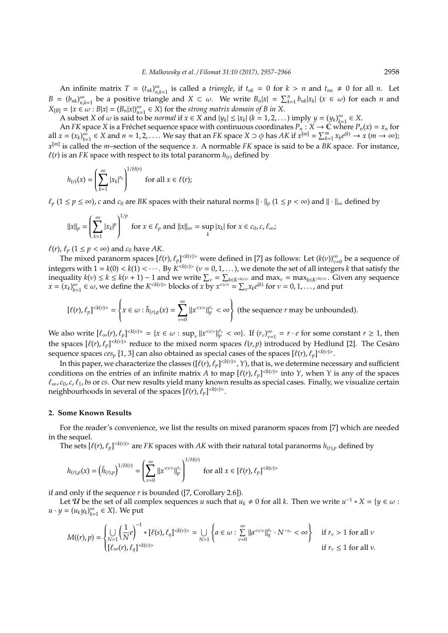An infinite matrix  $T = (t_{nk})_{n_k}^{\infty}$  $\sum_{n,k=1}^{\infty}$  is called a *triangle*, if  $t_{nk} = 0$  for  $k > n$  and  $t_{nn} \neq 0$  for all *n*. Let  $B = (b_{nk})_n^{\infty}$  $\sum_{n,k=1}^{\infty}$  be a positive triangle and  $X \subset \omega$ . We write  $B_n|x| = \sum_{k=1}^n b_{nk}|x_k|$  ( $x \in \omega$ ) for each *n* and  $X_{[B]} = \{x \in \omega : B|x| = (B_n|x|)_{n=0}^{\infty}$  $\sum_{n=1}^{\infty} \in X$  for the *strong matrix domain of B in X*.

A subset *X* of  $\omega$  is said to be *normal* if  $x \in X$  and  $|y_k| \le |x_k|$  ( $k = 1, 2, ...$ ) imply  $y = (y_k)_{k=1}^{\infty}$  $\sum_{k=1}^{\infty}$  ∈  $\sum$ .

An *FK* space *X* is a Fréchet sequence space with continuous coordinates  $P_n : X \to \mathbb{C}$  where  $P_n(x) = x_n$  for all  $x = (x_k)_{k=1}^{\infty}$  $\sum_{k=1}^{\infty} \in X$  and  $n = 1, 2, ...$  We say that an *FK* space  $X \supset \phi$  has  $AK$  if  $x^{[m]} = \sum_{k=1}^{m} x_k e^{(k)} \to x$   $(m \to \infty)$ ; *x* [*m*] is called the *m*–section of the sequence *x*. A normable *FK* space is said to be a *BK* space. For instance,  $\ell(r)$  is an *FK* space with respect to its total paranorm  $h(r)$  defined by

$$
h_{(r)}(x) = \left(\sum_{k=1}^{\infty} |x_k|^{r_k}\right)^{1/H(r)} \text{ for all } x \in \ell(r);
$$

 $\ell_p$  (1 ≤ *p* ≤ ∞), *c* and *c*<sub>0</sub> are *BK* spaces with their natural norms  $\|\cdot\|_p$  (1 ≤ *p* < ∞) and  $\|\cdot\|_\infty$  defined by

$$
\|x\|_{p} = \left(\sum_{k=1}^{\infty} |x_k|^p\right)^{1/p} \text{ for } x \in \ell_p \text{ and } \|x\|_{\infty} = \sup_{k} |x_k| \text{ for } x \in c_0, c, \ell_{\infty};
$$

 $\ell(r)$ ,  $\ell_p$  (1  $\leq$  *p* < ∞) and  $c_0$  have *AK*.

The mixed paranorm spaces  $[\ell(r), \ell_p]^{< k(\nu)}$  were defined in [7] as follows: Let  $(k(\nu))_{\nu=0}^{\infty}$  be a sequence of integers with  $1 = k(0) < k(1) < \cdots$ . By  $K^{< k(\nu)>}$  ( $\nu = 0, 1, \ldots$ ), we denote the set of all integers *k* that satisfy the inequality  $k(v) \le k \le k(v+1) - 1$  and we write  $\sum_{v} = \sum_{k \in K^{c(k(v))}}$  and max<sub>v</sub> = max<sub>k∈*K*<sup>ck(v)</sup>>. Given any sequence</sub>  $x = (x_k)_{k=1}^{\infty}$  $\sum_{k=1}^{\infty} \in \omega$ , we define the  $K^{< k(\nu)>}$  blocks of *x* by  $x^{< \nu>} = \sum_{\nu} x_k e^{(k)}$  for  $\nu = 0, 1, \dots$ , and put

$$
[\ell(r),\ell_p]^{< k(v)>}= \left\{x\in \omega: \tilde h_{(r),p}(x)=\sum_{\nu=0}^\infty \|x^{<\nu>}\|_p^{r_\nu}<\infty\right\}\ \text{(the sequence $r$ may be unbounded)}.
$$

We also write  $[\ell_{\infty}(r), \ell_p]^{< k(v)>} = \{x \in \omega : \sup_{v} ||x^{< v}>||_p^{r_v} < \infty\}.$  If  $(r_v)_{v=0}^{\infty}$  $v_{\text{rel}}^{\infty} = r \cdot e$  for some constant  $r \geq 1$ , then the spaces  $[\ell(r), \ell_p]^{< k(\nu)>}$  reduce to the mixed norm spaces  $\ell(r, p)$  introduced by Hedlund [2]. The Cesàro sequence spaces  $ces_p [1, 3]$  can also obtained as special cases of the spaces  $[\ell(r), \ell_p]^{< k(v)>}$ .

In this paper, we characterize the classes ([ $\ell(r)$ ,  $\ell_p$ ] $^{< k(\nu)>}$  , Y), that is, we determine necessary and sufficient conditions on the entries of an infinite matrix *A* to map  $[\ell(r), \ell_p]^{<\ell(\nu)}$  into *Y*, when *Y* is any of the spaces  $\ell_\infty$ ,  $c_0$ ,  $c$ ,  $\ell_1$ , bs or *cs*. Our new results yield many known results as special cases. Finally, we visualize certain neighbourhoods in several of the spaces  $[\ell(r), \ell_p]^{< k(v)>}.$ 

#### **2. Some Known Results**

For the reader's convenience, we list the results on mixed paranorm spaces from [7] which are needed in the sequel.

The sets  $[\ell(r), \ell_p]^{< k(v)>}$  are *FK* spaces with *AK* with their natural total paranorms  $h_{(r),p}$  defined by

$$
h_{(r),p}(x) = \left(\tilde{h}_{(r),p}\right)^{1/H(r)} = \left(\sum_{\nu=0}^{\infty} ||x^{<\nu>}||_{p}^{r_{\nu}}\right)^{1/H(r)} \text{ for all } x \in [\ell(r), \ell_p]^{}
$$

if and only if the sequence *r* is bounded ([7, Corollary 2.6]).

Let  $\hat{u}$  be the set of all complex sequences *u* such that  $u_k \neq 0$  for all *k*. Then we write  $u^{-1} * X = \{y \in \omega :$  $u \cdot y = (u_k y_k)_{k=0}^\infty$  $\sum_{k=1}^{\infty}$  ∈ *X*}. We put

$$
M((r),p)=\begin{cases}\displaystyle\bigcup_{N>1}\left(\frac{1}{N}e\right)^{-1}*\left[\ell(s),\ell_q\right]^{}=\displaystyle\bigcup_{N>1}\left\{a\in\omega:\sum_{\nu=0}^{\infty}\|a^{<\nu>}\|_q^{s_{\nu}}\cdot N^{-s_{\nu}}<\infty\right\} & \text{ if $r_{\nu}>1$ for all $\nu$} \\ \left[\ell_{\infty}(r),\ell_q\right]^{} & \text{ if $r_{\nu}\leq 1$ for all $\nu$}. \end{cases}
$$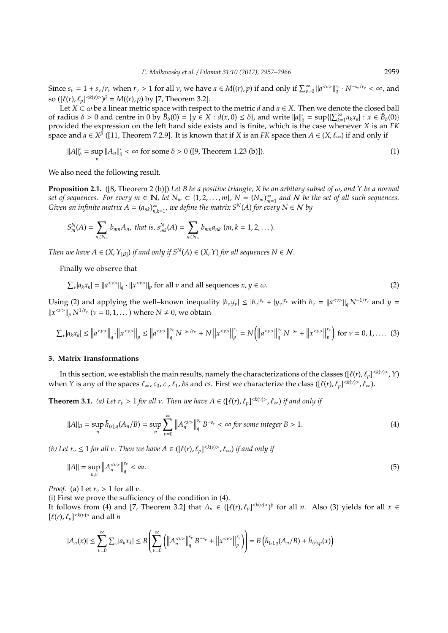Since  $s_v = 1 + s_v/r_v$  when  $r_v > 1$  for all  $v$ , we have  $a \in M((r), p)$  if and only if  $\sum_{v=0}^{\infty} ||a^{}||_q^{s_v} \cdot N^{-s_v/r_v} < \infty$ , and so  $([\ell(r), \ell_p]^{< k(\nu) > \beta} = M((r), p)$  by [7, Theorem 3.2].

Let  $X \subset \omega$  be a linear metric space with respect to the metric *d* and  $a \in X$ . Then we denote the closed ball of radius  $\delta > 0$  and centre in  $0$  by  $\bar{B}_{\delta}(0) = \{y \in X : d(x, 0) \le \delta\}$ , and write  $||a||^*$  $\sum_{\delta}^{*}$  = sup $\{|\sum_{k=1}^{\infty} a_k x_k| : x \in \bar{B}_{\delta}(0)\}$ provided the expression on the left hand side exists and is finite, which is the case whenever *X* is an *FK* space and *a* ∈ *X* β ([11, Theorem 7.2.9]. It is known that if *X* is an *FK* space then *A* ∈ (*X*, `∞) if and only if

$$
||A||_{\delta}^* = \sup_{n} ||A_n||_{\delta}^* < \infty \text{ for some } \delta > 0 \text{ ([9, Theorem 1.23 (b)]).}
$$
 (1)

We also need the following result.

**Proposition 2.1.** ([8, Theorem 2 (b)]) *Let B be a positive triangle, X be an arbitary subset of* ω*, and Y be a normal set of sequences.* For every  $m \in \mathbb{N}$ , let  $N_m \subset \{1, 2, ..., m\}$ ,  $N = (N_m)_{m=0}^{\infty}$  $\sum_{m=1}^{\infty}$  and N be the set of all such sequences. *Given an infinite matrix*  $A = (a_{nk})_n^{\infty}$  $\sum_{n,k=1}^{\infty}$ , we define the matrix  $S^{N}(A)$  for every  $N \in \mathcal{N}$  by

$$
S_m^N(A) = \sum_{n \in N_m} b_{mn} A_n, \text{ that is, } s_{mk}^N(A) = \sum_{n \in N_m} b_{mn} a_{nk} \text{ } (m, k = 1, 2, \dots).
$$

*Then we have*  $A \in (X, Y_{[B]})$  *if and only if*  $S^N(A) \in (X, Y)$  *for all sequences*  $N \in \mathcal{N}$ *.* 

Finally we observe that

 $\sum_{\nu} |a_k x_k| = ||a^{<\nu>}||_q \cdot ||x^{<\nu>}||_p$  for all  $\nu$  and all sequences  $x, y \in \omega$ . (2)

Using (2) and applying the well-known inequality  $|b_\nu y_\nu| \le |b_\nu|^{s_\nu} + |y_\nu|^{r_\nu}$  with  $b_\nu = ||a^{<\nu>}||_q N^{-1/r_\nu}$  and  $y =$  $||x^{\langle v \rangle}||_p N^{1/r_v}$  ( $v = 0, 1, ...$ ) where  $N \neq 0$ , we obtain

$$
\sum_{\nu} |a_k x_k| \le ||a^{<\nu>}||_q \cdot ||x^{<\nu>}||_p \le ||a^{<\nu>}||_q^{\mathsf{s}_{\nu}} N^{-\mathsf{s}_{\nu}/r_{\nu}} + N ||x^{<\nu>}||_p^{r_{\nu}} = N \left( ||a^{<\nu>}||_q^{\mathsf{s}_{\nu}} N^{-\mathsf{s}_{\nu}} + ||x^{<\nu>}||_p^{r_{\nu}} \right) \text{ for } \nu = 0, 1, \dots \tag{3}
$$

## **3. Matrix Transformations**

In this section, we establish the main results, namely the characterizations of the classes ([ $\ell(r)$ ,  $\ell_p$ ]<sup><k(v)></sup>, Y) when *Y* is any of the spaces  $\ell_\infty$ ,  $c_0$ ,  $c$  ,  $\ell_1$ , *bs* and *cs*. First we characterize the class ([ $\ell(r)$ ,  $\ell_p$ ]<sup>< $k(v)$ </sup>,  $\ell_\infty$ ).

**Theorem 3.1.** *(a)* Let  $r_v > 1$  for all v. Then we have  $A \in (\lbrack \ell(r), \ell_p \rbrack^{\le k(v)>}, \ell_{\infty})$  if and only if

$$
||A||_B = \sup_n \tilde{h}_{(s),q}(A_n/B) = \sup_n \sum_{\nu=0}^{\infty} ||A_n^{<\nu>}||_q^{s_{\nu}} B^{-s_{\nu}} < \infty \text{ for some integer } B > 1.
$$
 (4)

*(b)* Let  $r_v \leq 1$  *for all v. Then we have*  $A \in (\lbrack \ell(r), \ell_p \rbrack^{\langle k(v) \rangle}, \ell_{\infty})$  *if and only if* 

$$
||A|| = \sup_{n,\nu} ||A_n^{<\nu>}||_q^{r_\nu} < \infty.
$$
 (5)

*Proof.* (a) Let  $r_v > 1$  for all  $v$ .

(i) First we prove the sufficiency of the condition in (4).

It follows from (4) and [7, Theorem 3.2] that  $A_n \in ([\ell(r), \ell_p]^{< k(v) >})^\beta$  for all *n*. Also (3) yields for all  $x \in$  $[\ell(r), \ell_p]^{< k(v)>}$  and all *n* 

$$
|A_n(x)| \leq \sum_{\nu=0}^{\infty} \sum_{\nu} |a_k x_k| \leq B \left( \sum_{\nu=0}^{\infty} \left( \left\| A_n^{<\nu>} \right\|_q^{s_{\nu}} B^{-s_{\nu}} + \left\| x^{<\nu>} \right\|_p^{r_{\nu}} \right) \right) = B \left( \tilde{h}_{(s),q}(A_n/B) + \tilde{h}_{(r),p}(x) \right)
$$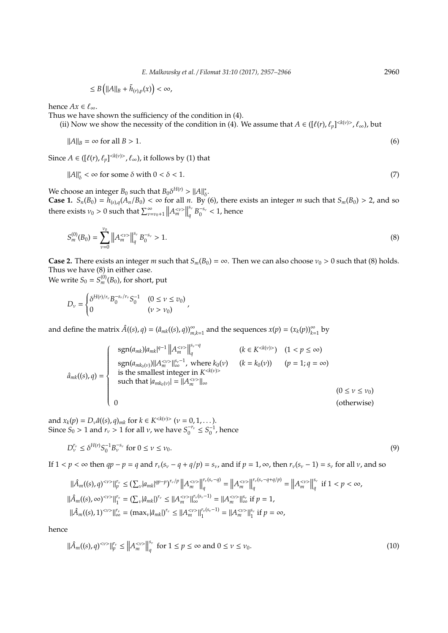$$
\leq B\left(||A||_B + \tilde{h}_{(r),p}(x)\right) < \infty,
$$

hence  $Ax \in \ell_{\infty}$ .

Thus we have shown the sufficiency of the condition in (4).

(ii) Now we show the necessity of the condition in (4). We assume that  $A \in ([\ell(r), \ell_p]^{< k(v) > \ell_\infty})$ , but

$$
||A||_B = \infty \text{ for all } B > 1.
$$
 (6)

Since  $A \in ([\ell(r), \ell_p]^{< k(v) > \ell_\infty})$ , it follows by (1) that

$$
||A||_{\delta}^* < \infty \text{ for some } \delta \text{ with } 0 < \delta < 1. \tag{7}
$$

We choose an integer  $B_0$  such that  $B_0 \delta^{H(r)} > ||A||^*_{\delta}$ .

**Case 1.**  $S_n(B_0) = h_{(s),q}(A_n/B_0) < \infty$  for all *n*. By (6), there exists an integer *m* such that  $S_m(B_0) > 2$ , and so there exists  $v_0 > 0$  such that  $\sum_{\nu=v_0+1}^{\infty} ||A_m^{<\nu>}||$ *s*ν  $\frac{s_v}{q} B_0^{-s_v} < 1$ , hence

$$
S_m^{(0)}(B_0) = \sum_{\nu=0}^{\nu_0} \left\| A_m^{<\nu>} \right\|_q^{s_\nu} B_0^{-s_\nu} > 1. \tag{8}
$$

**Case 2.** There exists an integer *m* such that  $S_m(B_0) = \infty$ . Then we can also choose  $v_0 > 0$  such that (8) holds. Thus we have (8) in either case.

We write  $S_0 = S_m^{(0)}(B_0)$ , for short, put

$$
D_{\nu} = \begin{cases} \delta^{H(r)/r_{\nu}} B_0^{-s_{\nu}/r_{\nu}} S_0^{-1} & (0 \le \nu \le v_0) \\ 0 & (\nu > \nu_0) \end{cases}
$$

and define the matrix  $\hat{A}((s), q) = (\hat{a}_{mk}((s), q))_{m,k=1}^{\infty}$  and the sequences  $x(p) = (x_k(p))_{k=1}^{\infty}$  by

$$
\hat{a}_{mk}((s), q) = \begin{cases}\n\text{sgn}(a_{mk})|a_{mk}|^{q-1} ||A_m^{<\nu>}||_q^{\frac{s_{\nu}-q}{q}} & (k \in K^{}) \quad (1 < p \leq \infty) \\
\text{sgn}(a_{mk_0(\nu)})||A_m^{<\nu>}||_{\infty}^{\frac{s_{\nu}-1}{q}}, \text{ where } k_0(\nu) \quad (k = k_0(\nu)) \quad (p = 1; q = \infty) \\
\text{is the smallest integer in } K^{} \\
\text{such that } |a_{mk_0(\nu)}| = ||A_m^{<\nu>}||_{\infty} & (0 \leq \nu \leq \nu_0) \\
0 & \text{(otherwise)}\n\end{cases}
$$

and  $x_k(p) = D_\nu \hat{a}((s), q)_{mk}$  for  $k \in K^{< k(\nu) >}$  ( $\nu = 0, 1, ...$ ). Since  $S_0 > 1$  and  $r_v > 1$  for all *v*, we have  $S_0^{-r_v} \leq S_0^{-1}$ , hence

$$
D_{\nu}^{r_{\nu}} \le \delta^{H(r)} S_0^{-1} B_{\nu}^{-s_{\nu}} \text{ for } 0 \le \nu \le \nu_0. \tag{9}
$$

If  $1 < p < \infty$  then  $qp - p = q$  and  $r_v(s_v - q + q/p) = s_v$ , and if  $p = 1, \infty$ , then  $r_v(s_v - 1) = s_v$  for all  $v$ , and so

$$
\begin{aligned} \|\hat{A}_{m}((s),q)^{<\nu>} \|^{r_{\nu}}_{p} \leq & \left( \sum_{\nu} |a_{mk}|^{qp-p} \right)^{r_{\nu}/p} \left\| A^{{<\nu}>}_{m} \right\|^{r_{\nu}(s_{\nu}-q)}_{q} = \left\| A^{{<\nu}>}_{m} \right\|^{r_{\nu}(s_{\nu}-q+q/p)}_{q} = \left\| A^{{<\nu}>}_{m} \right\|^{r_{\nu}}_{q} \text{ if } 1 < p < \infty, \\ \|\hat{A}_{m}((s),\infty)^{<\nu>} \|^{r_{\nu}}_{1} = \left( \sum_{\nu} |\hat{a}_{mk}| \right)^{r_{\nu}} \leq & \left\| A^{{<\nu}>}_{m} \right\|^{r_{\nu}(s_{\nu}-1)}_{\infty} = \left\| A^{{<\nu}>}_{m} \right\|^{s_{\nu}}_{\infty} \text{ if } p = 1, \\ \|\hat{A}_{m}((s),1)^{<\nu>} \|^{r_{\nu}}_{\infty} = (\max_{\nu} |\hat{a}_{mk}|)^{r_{\nu}} \leq & \left\| A^{{<\nu}>}_{m} \right\|^{r_{\nu}(s_{\nu}-1)}_{1} = \left\| A^{{<\nu}>}_{m} \right\|^{s_{\nu}}_{1} \text{ if } p = \infty, \end{aligned}
$$

hence

$$
\|\hat{A}_{m}((s),q)^{<\nu>}\|_{p}^{r_{\nu}}\leq\left\|A_{m}^{<\nu>}\right\|_{q}^{s_{\nu}}\text{ for }1\leq p\leq\infty\text{ and }0\leq\nu\leq\nu_{0}.\tag{10}
$$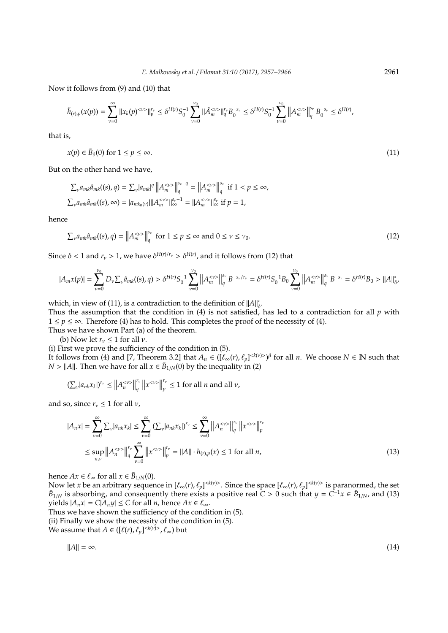Now it follows from (9) and (10) that

$$
\tilde{h}_{(r),p}(x(p))=\sum_{\nu=0}^{\infty}\|x_k(p)^{<\nu>}\|_p^{r_{\nu}}\leq \delta^{H(r)}S_0^{-1}\sum_{\nu=0}^{\nu_0}\|\hat{A}_m^{<\nu>}\|_q^{r_{\nu}}B_0^{-s_{\nu}}\leq \delta^{H(r)}S_0^{-1}\sum_{\nu=0}^{\nu_0}\left\|A_m^{<\nu>}\right\|_q^{s_{\nu}}B_0^{-s_{\nu}}\leq \delta^{H(r)},
$$

that is,

$$
x(p) \in \bar{B}_{\delta}(0) \text{ for } 1 \le p \le \infty. \tag{11}
$$

But on the other hand we have,

$$
\begin{aligned} \sum_{\nu} a_{mk} \hat{a}_{mk}((s), q) &= \sum_{\nu} |a_{mk}|^q \left\| A_m^{<\nu>} \right\|_q^{s_{\nu} - q} = \left\| A_m^{<\nu>} \right\|_q^{s_{\nu}} \text{ if } 1 < p \leq \infty, \\ \sum_{\nu} a_{mk} \hat{a}_{mk}((s), \infty) &= |a_{mk_0(\nu)}| \| A_m^{<\nu>} \|^{\text{s}_\nu - 1} = \| A_m^{<\nu>} \|^{\text{s}_\nu}_{\infty} \text{ if } p = 1, \end{aligned}
$$

hence

$$
\sum_{\nu} a_{mk} \hat{a}_{mk}((s), q) = \left\| A_m^{<\nu>} \right\|_q^{s_{\nu}} \text{ for } 1 \le p \le \infty \text{ and } 0 \le \nu \le \nu_0. \tag{12}
$$

Since  $\delta$  < 1 and  $r_v$  > 1, we have  $\delta^{H(r)/r_v} > \delta^{H(r)}$ , and it follows from (12) that

$$
|A_m x(p)| = \sum_{\nu=0}^{\nu_0} D_{\nu} \sum_{\nu} \hat{a}_{mk}((s), q) > \delta^{H(r)} S_0^{-1} \sum_{\nu=0}^{\nu_0} \left\| A_m^{<\nu>} \right\|_q^{s_{\nu}} B^{-s_{\nu}/r_{\nu}} = \delta^{H(r)} S_0^{-1} B_0 \sum_{\nu=0}^{\nu_0} \left\| A_m^{<\nu>} \right\|_q^{s_{\nu}} B^{-s_{\nu}} = \delta^{H(r)} B_0 > ||A||_{\delta}^*
$$

which, in view of (11), is a contradiction to the definition of  $||A||_k^*$ δ .

Thus the assumption that the condition in (4) is not satisfied, has led to a contradiction for all *p* with 1 ≤ *p* ≤ ∞. Therefore (4) has to hold. This completes the proof of the necessity of (4).

Thus we have shown Part (a) of the theorem.

(b) Now let  $r_v \leq 1$  for all  $v$ .

(i) First we prove the sufficiency of the condition in (5).

It follows from (4) and [7, Theorem 3.2] that  $A_n \in (\left[\ell_\infty(r), \ell_p\right]^{< k(\nu) > \beta}$  for all *n*. We choose  $N \in \mathbb{N}$  such that *N* >  $||A||$ . Then we have for all  $x \in \bar{B}_{1/N}(0)$  by the inequality in (2)

$$
\left(\sum_{\nu} |a_{nk}x_k|\right)^{r_\nu} \le \left\|A_n^{<\nu>} \right\|_q^{r_\nu} \left\|x^{<\nu>} \right\|_p^{r_\nu} \le 1 \text{ for all } n \text{ and all } \nu,
$$

and so, since  $r_v \leq 1$  for all  $v$ ,

$$
|A_n x| = \sum_{\nu=0}^{\infty} \sum_{\nu} |a_{nk} x_k| \le \sum_{\nu=0}^{\infty} \left( \sum_{\nu} |a_{nk} x_k| \right)^{r_{\nu}} \le \sum_{\nu=0}^{\infty} \left\| A_n^{< \nu>} \right\|_q^{r_{\nu}} \|x^{< \nu>} \right\|_p^{r_{\nu}}
$$
  

$$
\le \sup_{n,\nu} \left\| A_n^{< \nu>} \right\|_q^{r_{\nu}} \sum_{\nu=0}^{\infty} \left\| x^{< \nu>} \right\|_p^{r_{\nu}} = \|A\| \cdot h_{(r),p}(x) \le 1 \text{ for all } n,
$$
 (13)

hence  $Ax \in \ell_{\infty}$  for all  $x \in \bar{B}_{1/N}(0)$ .

Now let *x* be an arbitrary sequence in  $[\ell_\infty(r), \ell_p]^{< k(v)>}$ . Since the space  $[\ell_\infty(r), \ell_p]^{< k(v)>}$  is paranormed, the set  $\bar{B}_{1/N}$  is absorbing, and consequently there exists a positive real  $C > 0$  such that  $y = C^{-1}x \in \bar{B}_{1/N}$ , and (13) yields  $|A_n x| = C|A_n y| \le C$  for all *n*, hence  $Ax \in \ell_\infty$ .

Thus we have shown the sufficiency of the condition in (5).

(ii) Finally we show the necessity of the condition in (5).

We assume that  $A \in ([\ell(r), \ell_p]^{< k(v)>}, \ell_{\infty})$  but

$$
\|A\| = \infty. \tag{14}
$$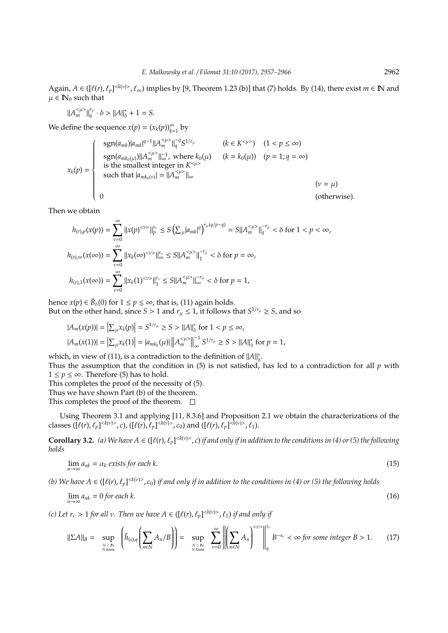Again,  $A \in ( [\ell(r), \ell_p]^{< k(\nu) > \ell_\infty} )$  implies by [9, Theorem 1.23 (b)] that (7) holds. By (14), there exist  $m \in \mathbb{N}$  and  $\mu \in \mathbb{N}_0$  such that

 $||A_m^{<\mu>}||_q^{r_\mu} \cdot \delta > ||A||_\delta^* + 1 = S.$ 

We define the sequence  $x(p) = (x_k(p))_{k=1}^{\infty}$  by

$$
x_{k}(p) = \begin{cases} \n\operatorname{sgn}(a_{mk}) |a_{mk}|^{q-1} ||A_{m}^{<\mu>}||_{q}^{-q} S^{1/r_{\mu}} & (k \in K^{<\mu>}) \quad (1 < p \leq \infty) \\ \n\operatorname{sgn}(a_{mk_{0}(\mu)}) ||A_{m}^{<\mu>}||_{\infty}^{-1}, \text{ where } k_{0}(\mu) \quad (k = k_{0}(\mu)) \quad (p = 1; q = \infty) \\ \n\operatorname{such that} |a_{mk_{0}(\nu)}| = ||A_{m}^{<\mu>}||_{\infty} & (v = \mu) \\ \n0 & \text{(otherwise).} \n\end{cases}
$$

Then we obtain

$$
h_{(r),p}(x(p)) = \sum_{\nu=0}^{\infty} ||x(p)^{<\nu>}||_p^{r_{\nu}} \le S\left(\sum_{\mu} |a_{mk}|^q\right)^{r_{\mu}(q/p-q)} = S||A_m^{<\mu>}||_q^{-r_{\mu}} < \delta \text{ for } 1 < p < \infty,
$$
  

$$
h_{(r),\infty}(x(\infty)) = \sum_{\nu=0}^{\infty} ||x_k(\infty)^{<\nu>}||_{\infty}^{r_{\nu}} \le S||A_m^{<\mu>}||_1^{-r_{\mu}} < \delta \text{ for } p = \infty,
$$
  

$$
h_{(r),1}(x(\infty)) = \sum_{\nu=0}^{\infty} ||x_k(1)^{<\nu>}||_1^{r_{\nu}} \le S||A_m^{<\mu>}||_{\infty}^{-r_{\mu}} < \delta \text{ for } p = 1,
$$

hence  $x(p) \in \bar{B}_\delta(0)$  for  $1 \le p \le \infty$ , that is, (11) again holds. But on the other hand, since *S* > 1 and  $r_{\mu} \le 1$ , it follows that  $S^{1/r_{\mu}} \ge S$ , and so

$$
|A_m(x(p))| = \left| \sum_{\mu} x_k(p) \right| = S^{1/r_{\mu}} \ge S > ||A||_{\delta}^* \text{ for } 1 < p \le \infty,
$$
  

$$
|A_m(x(1))| = \left| \sum_{\mu} x_k(1) \right| = |a_{mk_0}(\mu)| \left| \left| A_m^{<\mu>} \right| \right|_{\infty}^{-1} S^{1/r_{\mu}} \ge S > ||A||_{\delta}^* \text{ for } p = 1,
$$

which, in view of (11), is a contradiction to the definition of  $||A||_k^*$ δ .

Thus the assumption that the condition in  $(5)$  is not satisfied, has led to a contradiction for all  $p$  with  $1 \le p \le \infty$ . Therefore (5) has to hold.

This completes the proof of the necessity of (5).

 $\sim$ 

Thus we have shown Part (b) of the theorem.

This completes the proof of the theorem.  $\square$ 

Using Theorem 3.1 and applying [11, 8.3.6] and Proposition 2.1 we obtain the characterizations of the classes  $([\ell(r), \ell_p]^{< k(v)>}, c)$ ,  $([\ell(r), \ell_p]^{< k(v)>}, c_0)$  and  $([\ell(r), \ell_p]^{< k(v)>}, \ell_1)$ .

**Corollary 3.2.** (a) We have  $A \in ([\ell(r), \ell_p]^{< k(v)>}$ , *c*) if and only if in addition to the conditions in (4) or (5) the following *holds*

$$
\lim_{n \to \infty} a_{nk} = \alpha_k \text{ exists for each } k. \tag{15}
$$

(b) We have  $A \in ([\ell(r), \ell_p]^{< k(v)>}$ ,  $c_0)$  if and only if in addition to the conditions in (4) or (5) the following holds

$$
\lim_{n \to \infty} a_{nk} = 0 \text{ for each } k. \tag{16}
$$

*(c)* Let  $r_v > 1$  for all v. Then we have  $A \in (\lbrack \ell(r), \ell_p \rbrack^{< k(v)>}, \ell_1)$  if and only if

$$
\|\Sigma A\|_{B} = \sup_{N \subset N \atop N \text{ finite}} \left( \tilde{h}_{(s),q} \left( \sum_{n \in N} A_n / B \right) \right) = \sup_{N \subset N \atop N \text{ finite}} \sum_{\nu=0}^{\infty} \left\| \left( \sum_{n \in N} A_n \right)^{<\nu>} \right\|_{q}^{s_{\nu}} B^{-s_{\nu}} < \infty \text{ for some integer } B > 1. \tag{17}
$$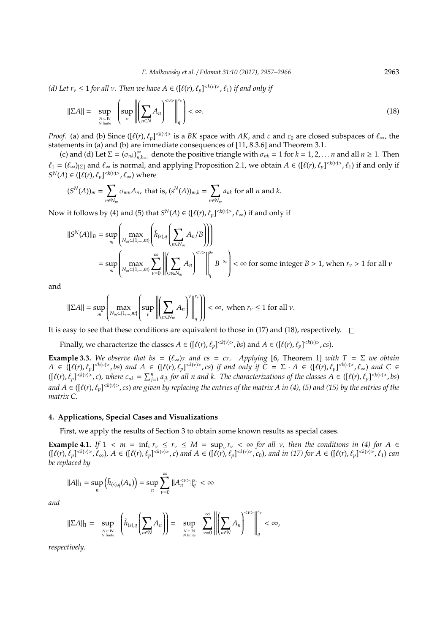*(d)* Let  $r_v \leq 1$  for all v. Then we have  $A \in ([\ell(r), \ell_p]^{< k(v) > \ell_1})$  if and only if

$$
\|\Sigma A\| = \sup_{N \subset \mathbb{N} \atop N \text{ finite}} \left( \sup_{\nu} \left\| \left( \sum_{n \in \mathbb{N}} A_n \right)^{2\nu} \right\|_{q}^{r_{\nu}} \right) < \infty. \tag{18}
$$

*Proof.* (a) and (b) Since ( $[\ell(r), \ell_p]^{< k(\nu)}$  is a *BK* space with *AK*, and *c* and  $c_0$  are closed subspaces of  $\ell_\infty$ , the statements in (a) and (b) are immediate consequences of [11, 8.3.6] and Theorem 3.1.

(c) and (d) Let  $\Sigma = (\sigma_{nk})_n^{\infty}$  $\sum_{n,k=1}^{\infty}$  denote the positive triangle with  $\sigma_{nk} = 1$  for  $k = 1, 2, \ldots n$  and all  $n \ge 1$ . Then  $\ell_1 = (\ell_\infty)_{\vert \Sigma \vert}$  and  $\ell_\infty$  is normal, and applying Proposition 2.1, we obtain  $A \in ([\ell(r), \ell_p]^{< k(v)>}, \ell_1)$  if and only if  $S^{N}(A) \in ([\ell(r), \ell_p]^{< k(v)>}, \ell_{\infty})$  where

$$
(S^N(A))_m = \sum_{n \in N_m} \sigma_{mn} A_n, \text{ that is, } (s^N(A))_{m,k} = \sum_{n \in N_m} a_{nk} \text{ for all } n \text{ and } k.
$$

Now it follows by (4) and (5) that  $S^N(A) \in ([\ell(r), \ell_p]^{< k(\nu)>}, \ell_\infty)$  if and only if

$$
\|S^{N}(A)\|_{B} = \sup_{m} \left( \max_{N_{m} \subset \{1, \ldots, m\}} \left( \tilde{h}_{(s), q} \left( \sum_{n \in N_{m}} A_{n}/B \right) \right) \right)
$$
  
= 
$$
\sup_{m} \left( \max_{N_{m} \subset \{1, \ldots, m\}} \sum_{\nu=0}^{\infty} \left| \left( \sum_{n \in N_{m}} A_{n} \right)^{<\nu>} \right|_{q}^{s_{\nu}} B^{-s_{\nu}} \right| < \infty \text{ for some integer } B > 1, \text{ when } r_{\nu} > 1 \text{ for all } \nu \in \mathbb{R}.
$$

and

$$
\|\Sigma A\| = \sup_m \left( \max_{N_m \subset \{1, \dots, m\}} \left( \sup_{\nu} \left\| \left( \sum_{n \in N_m} A_n \right)^{\nu} \right\|_{q}^{r_{\nu}} \right) \right) < \infty, \text{ when } r_{\nu} \le 1 \text{ for all } \nu.
$$

It is easy to see that these conditions are equivalent to those in (17) and (18), respectively.  $\square$ 

Finally, we characterize the classes  $A \in ([\ell(r), \ell_p]^{< k(v)>}, bs)$  and  $A \in ([\ell(r), \ell_p]^{< k(v)>}, cs)$ .

**Example 3.3.** *We observe that bs* =  $(\ell_{\infty})_{\Sigma}$  *and cs* = *c<sub>Σ</sub>. Applying* [6, Theorem 1] *with*  $T = \Sigma$  *we obtain*  $A \in (\lbrack \ell(r), \ell_p \rbrack^{\langle k(v) \rangle}, bs)$  and  $A \in (\lbrack \ell(r), \ell_p \rbrack^{\langle k(v) \rangle}, cs)$  if and only if  $C = \Sigma \cdot A \in (\lbrack \ell(r), \ell_p \rbrack^{\langle k(v) \rangle}, \ell_{\infty})$  and  $C \in$  $([\ell(r), \ell_p]^{< k(\nu)}$ , c), where  $c_{nk} = \sum_{j=1}^n a_{jk}$  for all n and k. The characterizations of the classes  $A \in ([\ell(r), \ell_p]^{< k(\nu)}$ , bs) and  $A\in([{\ell}(r),{\ell_p}]^{< k(v)>}$  , cs) are given by replacing the entries of the matrix  $A$  in (4), (5) and (15) by the entries of the *matrix C.*

### **4. Applications, Special Cases and Visualizations**

First, we apply the results of Section 3 to obtain some known results as special cases.

**Example 4.1.** *If*  $1 \lt m = \inf_v r_v \leq r_v \leq M = \sup_v r_v \lt \infty$  for all v, then the conditions in (4) for  $A \in$  $([\ell(r), \ell_p]^{< k(\nu) >}, \ell_\infty), A \in ([\ell(r), \ell_p]^{< k(\nu) >}, c)$  and  $A \in ([\ell(r), \ell_p]^{< k(\nu) >}, c_0)$ , and in (17) for  $A \in ([\ell(r), \ell_p]^{< k(\nu) >}, \ell_1)$  can *be replaced by*

$$
||A||_1 = \sup_n \left(\tilde{h}_{(s),q}(A_n)\right) = \sup_n \sum_{\nu=0}^{\infty} ||A_n^{<\nu>}||_q^{s_{\nu}} < \infty
$$

*and*

$$
\|\Sigma A\|_1 = \sup_{N \subset N \atop N \text{ finite}} \left( \tilde{h}_{(s),q} \left( \sum_{n \in N} A_n \right) \right) = \sup_{N \subset N \atop N \text{ finite}} \sum_{\nu=0}^{\infty} \left\| \left( \sum_{n \in N} A_n \right)^{<\nu>} \right\|_q^{s_{\nu}} < \infty,
$$

*respectively.*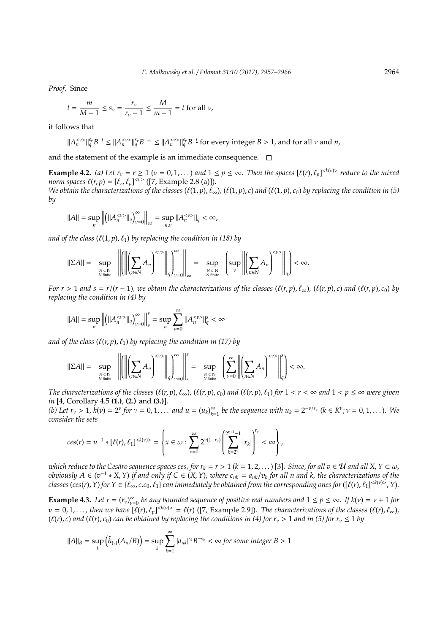*Proof.* Since

$$
\underline{t} = \frac{m}{M-1} \le s_\nu = \frac{r_\nu}{r_\nu - 1} \le \frac{M}{m-1} = \overline{t} \text{ for all } \nu,
$$

it follows that

$$
\|A_n^{<\nu>} \|_q^{s_\nu} B^{-\overline{t}} \le \|A_n^{<\nu>} \|_q^{s_\nu} B^{-s_\nu} \le \|A_n^{<\nu>} \|_q^{s_\nu} B^{-\underline{t}} \text{ for every integer } B > 1, \text{ and for all } \nu \text{ and } n,
$$

and the statement of the example is an immediate consequence.  $\Box$ 

**Example 4.2.** *(a)* Let  $r_v = r \ge 1$  ( $v = 0, 1, ...$ ) and  $1 \le p \le \infty$ . Then the spaces  $[\ell(r), \ell_p]^{< k(v)>}$  reduce to the mixed *norm spaces*  $\ell(r, p) = [\ell_r, \ell_p]^{*v*}$  ([7, Example 2.8 (a)]). *We obtain the characterizations of the classes*  $(\ell(1, p), \ell_\infty)$ ,  $(\ell(1, p), c)$  and  $(\ell(1, p), c_0)$  by replacing the condition in (5) *by*

$$
||A|| = \sup_{n} \left\| \left( ||A_n^{<}v>||_q \right)_{v=0}^{\infty} \right\|_{\infty} = \sup_{n,v} \left\| A_n^{<}v>||_q < \infty \right\}
$$

*and of the class*  $(\ell(1, p), \ell_1)$  *by replacing the condition in (18) by* 

$$
\|\Sigma A\| = \sup_{N \subset \mathbb{N} \atop N \text{ finite}} \left\| \left( \left\| \left( \sum_{n \in \mathbb{N}} A_n \right)^{<\nu>} \right\|_q \right)_{\nu=0}^{\infty} \right\|_{\infty} = \sup_{N \subset \mathbb{N} \atop N \text{ finite}} \left\{ \sup_{\nu} \left\| \left( \sum_{n \in \mathbb{N}} A_n \right)^{<\nu>} \right\|_q \right\} < \infty.
$$

For  $r > 1$  and  $s = r/(r-1)$ , we obtain the characterizations of the classes  $(\ell(r, p), \ell_{\infty})$ ,  $(\ell(r, p), c)$  and  $(\ell(r, p), c_0)$  by *replacing the condition in (4) by*

$$
||A|| = \sup_{n} \left\| \left( ||A_{n}^{<\nu>}||_{q} \right)_{\nu=0}^{\infty} \right\|_{s}^{s} = \sup_{n} \sum_{\nu=0}^{\infty} ||A_{n}^{<\nu>}||_{q}^{s} < \infty
$$

*and of the class*  $(\ell(r, p), \ell_1)$  *by replacing the condition in (17) by* 

$$
\|\Sigma A\| = \sup_{N \text{ finite} \atop N \text{ finite}} \left\| \left( \left\| \left( \sum_{n \in N} A_n \right)^{<\nu>} \right\|_q \right)_{\nu=0}^{\infty} \right\|_s^s = \sup_{N \text{ finite} \atop N \text{ finite}} \left( \sum_{\nu=0}^{\infty} \left\| \left( \sum_{n \in N} A_n \right)^{<\nu>} \right\|_q^s \right) < \infty.
$$

The characterizations of the classes  $(\ell(r,p), \ell_\infty)$ ,  $(\ell(r,p), c_0)$  and  $(\ell(r,p), \ell_1)$  for  $1 < r < \infty$  and  $1 < p \le \infty$  were given *in* [4, Corollary 4.5 **(1.)**, **(2.)** and **(3.)**]*.*

*(b)* Let  $r_v > 1$ ,  $k(v) = 2^v$  for  $v = 0, 1, \ldots$  and  $u = (u_k)_{k=v}^{\infty}$  $\sum_{k=1}^{\infty}$  *be the sequence with*  $u_k = 2^{-\nu/s_{\nu}}$  ( $k \in K^{\nu}; \nu = 0, 1, ...$ )*.* We *consider the sets*

$$
ces(r) = u^{-1} * [\ell(r), \ell_1]^{} = \left\{ x \in \omega : \sum_{\nu=0}^{\infty} 2^{\nu(1-r_{\nu})} \left( \sum_{k=2^{\nu}}^{2^{\nu+1}-1} |x_k| \right)^{r_{\nu}} < \infty \right\},\,
$$

 $\omega$ hich reduce to the Cesàro sequence spaces ces<sub>r</sub> for  $r_k = r > 1$  ( $k = 1, 2, ...$  ) [3]. Since, for all  $v \in U$  and all  $X, Y \subset \omega$ , *obviously*  $A ∈ (v^{-1} * X, Y)$  *if and only if*  $C ∈ (X, Y)$ *, where*  $c_{nk} = a_{nk}/v_k$  for all n and k, the characterizations of the *classes* (*ces*(*r*), *Y*) for  $Y \in \{\ell_\infty, c.c_0, \ell_1\}$  *can immediately be obtained from the corresponding ones for* ([ $\ell(r)$ ,  $\ell_1$ ]  $\leq k(v)$ ,  $\geq$   $\gamma$ ).

**Example 4.3.** *Let*  $r = (r_v)_{v_z}^{\infty}$  $\sum_{\nu=0}^{\infty}$  *be any bounded sequence of positive real numbers and*  $1 \le p \le \infty$ *. If*  $k(\nu) = \nu + 1$  *for*  $\nu = 0, 1, \ldots$ , then we have  $[\ell(r), \ell_p]^{< k(\nu) >} = \ell(r)$  ([7, Example 2.9]). The characterizations of the classes  $(\ell(r), \ell_{\infty})$ ,  $(\ell(r), c)$  *and*  $(\ell(r), c_0)$  *can be obtained by replacing the conditions in (4) for r<sub>v</sub> > 1 <i>and in (5) for r<sub>v</sub>*  $\leq$  1 *by* 

$$
||A||_B = \sup_k (\tilde{h}_{(s)}(A_n/B)) = \sup_k \sum_{k=1}^{\infty} |a_{nk}|^{s_k} B^{-s_k} < \infty \text{ for some integer } B > 1
$$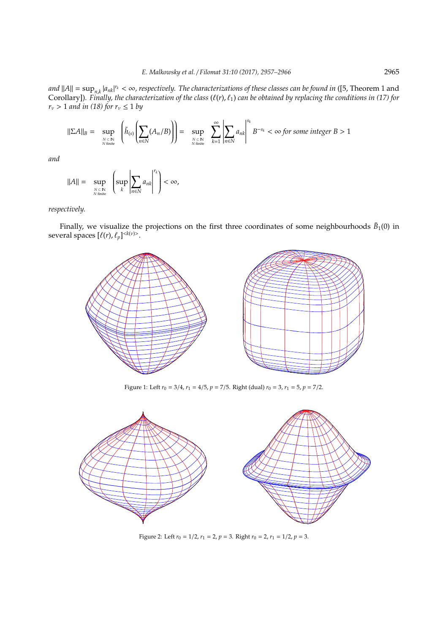*and*  $||A|| = \sup_{n,k} |a_{nk}|^{r_k} < \infty$ , respectively. The characterizations of these classes can be found in ([5, Theorem 1 and Corollary])*. Finally, the characterization of the class* (`(*r*), `1) *can be obtained by replacing the conditions in (17) for*  $r_v > 1$  *and in (18) for*  $r_v \leq 1$  *by* 

$$
\|\Sigma A\|_{B} = \sup_{N \subset \mathbb{N} \atop N \text{ finite}} \left( \tilde{h}_{(s)} \left( \sum_{n \in \mathbb{N}} (A_n / B) \right) \right) = \sup_{N \subset \mathbb{N} \atop N \text{ finite}} \sum_{k=1}^{\infty} \left| \sum_{n \in \mathbb{N}} a_{nk} \right|^{s_k} B^{-s_k} < \infty \text{ for some integer } B > 1
$$

*and*

$$
||A|| = \sup_{N \subset \mathbb{N} \atop N \text{ finite}} \left( \sup_{k} \left| \sum_{n \in \mathbb{N}} a_{nk} \right|^{r_k} \right) < \infty,
$$

*respectively.*

Finally, we visualize the projections on the first three coordinates of some neighbourhoods  $\bar{B}_1(0)$  in several spaces  $[\ell(r), \ell_p]^{< k(v)>}.$ 



Figure 1: Left  $r_0 = 3/4$ ,  $r_1 = 4/5$ ,  $p = 7/5$ . Right (dual)  $r_0 = 3$ ,  $r_1 = 5$ ,  $p = 7/2$ .



Figure 2: Left  $r_0 = 1/2$ ,  $r_1 = 2$ ,  $p = 3$ . Right  $r_0 = 2$ ,  $r_1 = 1/2$ ,  $p = 3$ .